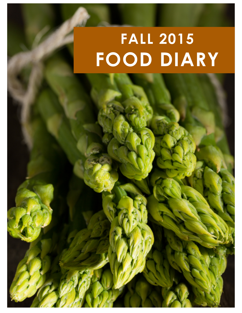## **FALL 2015 FOOD DIARY**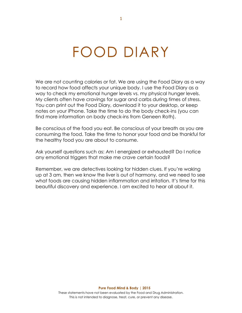## FOOD DIARY

We are not counting calories or fat. We are using the Food Diary as a way to record how food affects your unique body. I use the Food Diary as a way to check my emotional hunger levels vs. my physical hunger levels. My clients often have cravings for sugar and carbs during times of stress. You can print out the Food Diary, download it to your desktop, or keep notes on your iPhone. Take the time to do the body check-ins (you can find more information on body check-ins from Geneen Roth).

Be conscious of the food you eat. Be conscious of your breath as you are consuming the food. Take the time to honor your food and be thankful for the healthy food you are about to consume.

Ask yourself questions such as: Am I energized or exhausted? Do I notice any emotional triggers that make me crave certain foods?

Remember, we are detectives looking for hidden clues. If you're waking up at 3 am, then we know the liver is out of harmony, and we need to see what foods are causing hidden inflammation and irritation. It's time for this beautiful discovery and experience. I am excited to hear all about it.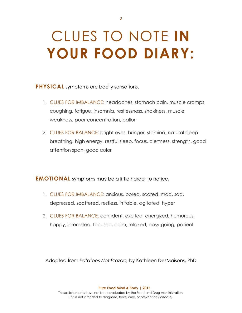## CLUES TO NOTE **IN YOUR FOOD DIARY:**

**PHYSICAL** symptoms are bodily sensations.

- 1. CLUES FOR IMBALANCE: headaches, stomach pain, muscle cramps, coughing, fatigue, insomnia, restlessness, shakiness, muscle weakness, poor concentration, pallor
- 2. CLUES FOR BALANCE: bright eyes, hunger, stamina, natural deep breathing, high energy, restful sleep, focus, alertness, strength, good attention span, good color

**EMOTIONAL** symptoms may be a little harder to notice.

- 1. CLUES FOR IMBALANCE: anxious, bored, scared, mad, sad, depressed, scattered, restless, irritable, agitated, hyper
- 2. CLUES FOR BALANCE: confident, excited, energized, humorous, happy, interested, focused, calm, relaxed, easy-going, patient

Adapted from *Potatoes Not Prozac,* by Kathleen DesMaisons, PhD

**Pure Food Mind & Body | 2015**

These statements have not been evaluated by the Food and Drug Administration. This is not intended to diagnose, treat, cure, or prevent any disease.